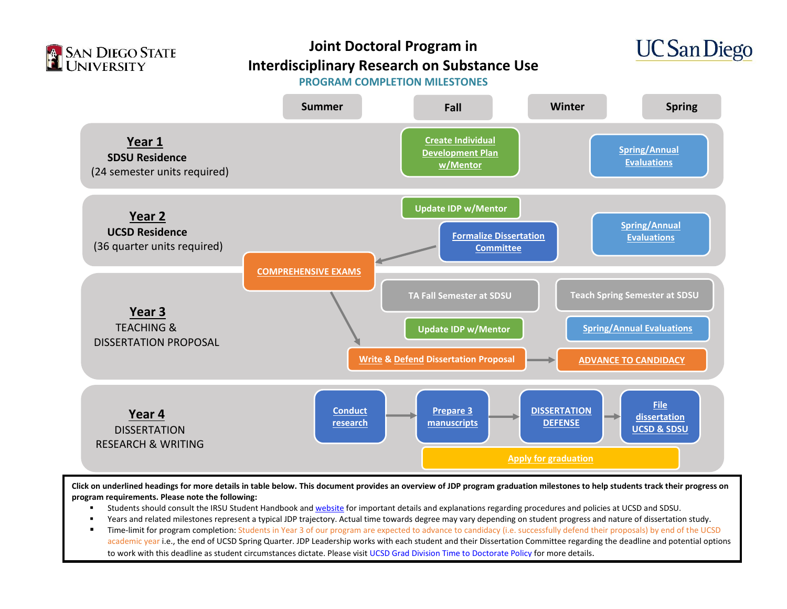



#### **PROGRAM COMPLETION MILESTONES**



**Click on underlined headings for more details in table below. This document provides an overview of JDP program graduation milestones to help students track their progress on program requirements. Please note the following:**

- Students should consult the IRSU Student Handbook an[d website](https://chhs.sdsu.edu/irsu/) for important details and explanations regarding procedures and policies at UCSD and SDSU.
- Years and related milestones represent a typical JDP trajectory. Actual time towards degree may vary depending on student progress and nature of dissertation study.
- **Time-limit for program completion: Students in Year 3 of our program are expected to advance to candidacy (i.e. successfully defend their proposals) by end of the UCSD** academic year i.e., the end of UCSD Spring Quarter. JDP Leadership works with each student and their Dissertation Committee regarding the deadline and potential options to work with this deadline as student circumstances dictate. Please visit [UCSD Grad Division Time to Doctorate Policy](https://grad.ucsd.edu/academics/progress-to-degree/time-to-doctorate-policy.html) for more details.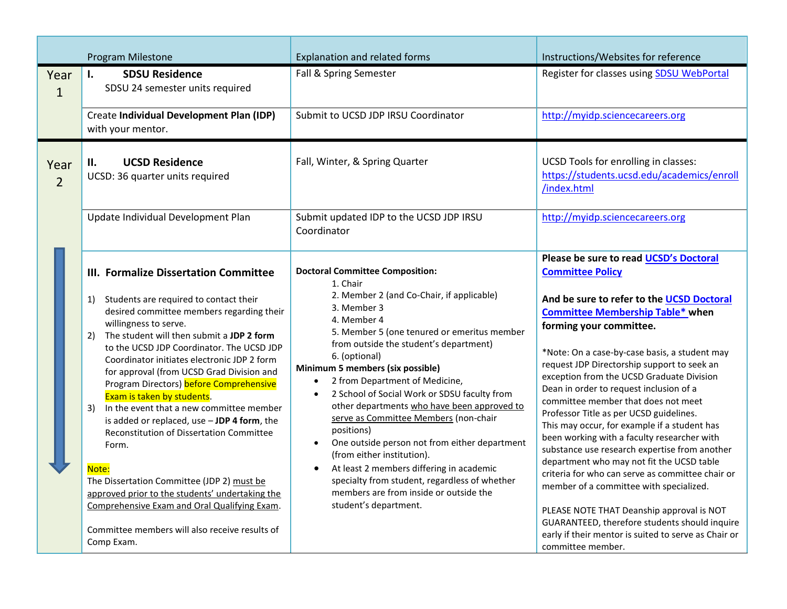<span id="page-1-4"></span><span id="page-1-3"></span><span id="page-1-2"></span><span id="page-1-1"></span><span id="page-1-0"></span>

|                        | Program Milestone                                                                                                                                                                                                                                                                                                                                                                                                                                                                                                                                                                                                                                                                                                                                                                                                | <b>Explanation and related forms</b>                                                                                                                                                                                                                                                                                                                                                                                                                                                                                                                                                                                                                                                                                                                      | Instructions/Websites for reference                                                                                                                                                                                                                                                                                                                                                                                                                                                                                                                                                                                                                                                                                                                                                                                                                                                                                                   |  |  |
|------------------------|------------------------------------------------------------------------------------------------------------------------------------------------------------------------------------------------------------------------------------------------------------------------------------------------------------------------------------------------------------------------------------------------------------------------------------------------------------------------------------------------------------------------------------------------------------------------------------------------------------------------------------------------------------------------------------------------------------------------------------------------------------------------------------------------------------------|-----------------------------------------------------------------------------------------------------------------------------------------------------------------------------------------------------------------------------------------------------------------------------------------------------------------------------------------------------------------------------------------------------------------------------------------------------------------------------------------------------------------------------------------------------------------------------------------------------------------------------------------------------------------------------------------------------------------------------------------------------------|---------------------------------------------------------------------------------------------------------------------------------------------------------------------------------------------------------------------------------------------------------------------------------------------------------------------------------------------------------------------------------------------------------------------------------------------------------------------------------------------------------------------------------------------------------------------------------------------------------------------------------------------------------------------------------------------------------------------------------------------------------------------------------------------------------------------------------------------------------------------------------------------------------------------------------------|--|--|
| Year<br>$\mathbf{1}$   | <b>SDSU Residence</b><br>L.<br>SDSU 24 semester units required                                                                                                                                                                                                                                                                                                                                                                                                                                                                                                                                                                                                                                                                                                                                                   | Fall & Spring Semester                                                                                                                                                                                                                                                                                                                                                                                                                                                                                                                                                                                                                                                                                                                                    | Register for classes using <b>SDSU WebPortal</b>                                                                                                                                                                                                                                                                                                                                                                                                                                                                                                                                                                                                                                                                                                                                                                                                                                                                                      |  |  |
|                        | Create Individual Development Plan (IDP)<br>with your mentor.                                                                                                                                                                                                                                                                                                                                                                                                                                                                                                                                                                                                                                                                                                                                                    | Submit to UCSD JDP IRSU Coordinator                                                                                                                                                                                                                                                                                                                                                                                                                                                                                                                                                                                                                                                                                                                       | http://myidp.sciencecareers.org                                                                                                                                                                                                                                                                                                                                                                                                                                                                                                                                                                                                                                                                                                                                                                                                                                                                                                       |  |  |
| Year<br>$\overline{2}$ | <b>UCSD Residence</b><br>н.<br>UCSD: 36 quarter units required                                                                                                                                                                                                                                                                                                                                                                                                                                                                                                                                                                                                                                                                                                                                                   | Fall, Winter, & Spring Quarter                                                                                                                                                                                                                                                                                                                                                                                                                                                                                                                                                                                                                                                                                                                            | UCSD Tools for enrolling in classes:<br>https://students.ucsd.edu/academics/enroll<br>/index.html                                                                                                                                                                                                                                                                                                                                                                                                                                                                                                                                                                                                                                                                                                                                                                                                                                     |  |  |
|                        | Update Individual Development Plan                                                                                                                                                                                                                                                                                                                                                                                                                                                                                                                                                                                                                                                                                                                                                                               | Submit updated IDP to the UCSD JDP IRSU<br>Coordinator                                                                                                                                                                                                                                                                                                                                                                                                                                                                                                                                                                                                                                                                                                    | http://myidp.sciencecareers.org                                                                                                                                                                                                                                                                                                                                                                                                                                                                                                                                                                                                                                                                                                                                                                                                                                                                                                       |  |  |
|                        | III. Formalize Dissertation Committee<br>1) Students are required to contact their<br>desired committee members regarding their<br>willingness to serve.<br>2) The student will then submit a JDP 2 form<br>to the UCSD JDP Coordinator. The UCSD JDP<br>Coordinator initiates electronic JDP 2 form<br>for approval (from UCSD Grad Division and<br>Program Directors) before Comprehensive<br>Exam is taken by students.<br>3) In the event that a new committee member<br>is added or replaced, use $-$ JDP 4 form, the<br><b>Reconstitution of Dissertation Committee</b><br>Form.<br>Note:<br>The Dissertation Committee (JDP 2) must be<br>approved prior to the students' undertaking the<br>Comprehensive Exam and Oral Qualifying Exam.<br>Committee members will also receive results of<br>Comp Exam. | <b>Doctoral Committee Composition:</b><br>1. Chair<br>2. Member 2 (and Co-Chair, if applicable)<br>3. Member 3<br>4. Member 4<br>5. Member 5 (one tenured or emeritus member<br>from outside the student's department)<br>6. (optional)<br>Minimum 5 members (six possible)<br>2 from Department of Medicine,<br>$\bullet$<br>2 School of Social Work or SDSU faculty from<br>$\bullet$<br>other departments who have been approved to<br>serve as Committee Members (non-chair<br>positions)<br>One outside person not from either department<br>$\bullet$<br>(from either institution).<br>At least 2 members differing in academic<br>specialty from student, regardless of whether<br>members are from inside or outside the<br>student's department. | Please be sure to read UCSD's Doctoral<br><b>Committee Policy</b><br>And be sure to refer to the UCSD Doctoral<br><b>Committee Membership Table* when</b><br>forming your committee.<br>*Note: On a case-by-case basis, a student may<br>request JDP Directorship support to seek an<br>exception from the UCSD Graduate Division<br>Dean in order to request inclusion of a<br>committee member that does not meet<br>Professor Title as per UCSD guidelines.<br>This may occur, for example if a student has<br>been working with a faculty researcher with<br>substance use research expertise from another<br>department who may not fit the UCSD table<br>criteria for who can serve as committee chair or<br>member of a committee with specialized.<br>PLEASE NOTE THAT Deanship approval is NOT<br>GUARANTEED, therefore students should inquire<br>early if their mentor is suited to serve as Chair or<br>committee member. |  |  |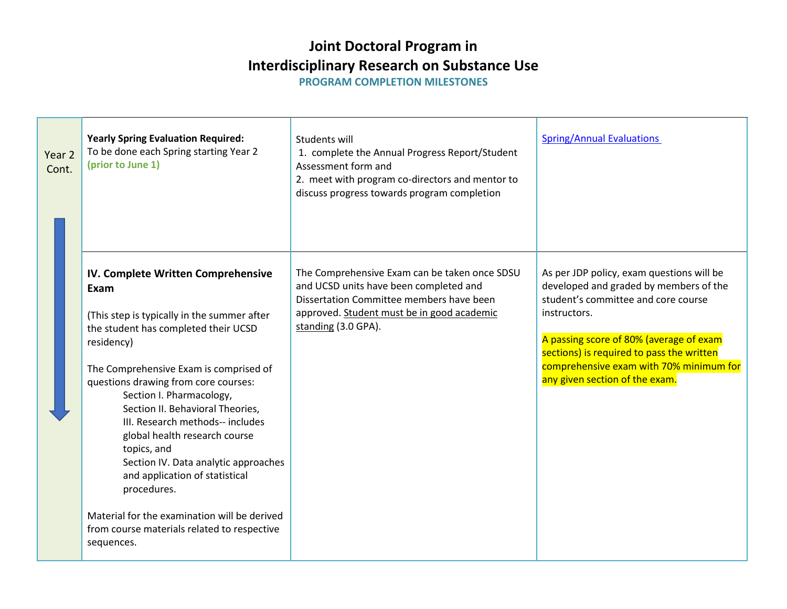**PROGRAM COMPLETION MILESTONES** 

<span id="page-2-0"></span>

| Year 2<br>Cont. | <b>Yearly Spring Evaluation Required:</b><br>To be done each Spring starting Year 2<br>(prior to June 1)                                                                                                                                                                                                                                                                                                                                                                                                                                                                                    | Students will<br>1. complete the Annual Progress Report/Student<br>Assessment form and<br>2. meet with program co-directors and mentor to<br>discuss progress towards program completion                 | <b>Spring/Annual Evaluations</b>                                                                                                                                                                                                                                                                                |  |  |  |  |
|-----------------|---------------------------------------------------------------------------------------------------------------------------------------------------------------------------------------------------------------------------------------------------------------------------------------------------------------------------------------------------------------------------------------------------------------------------------------------------------------------------------------------------------------------------------------------------------------------------------------------|----------------------------------------------------------------------------------------------------------------------------------------------------------------------------------------------------------|-----------------------------------------------------------------------------------------------------------------------------------------------------------------------------------------------------------------------------------------------------------------------------------------------------------------|--|--|--|--|
|                 | IV. Complete Written Comprehensive<br>Exam<br>(This step is typically in the summer after<br>the student has completed their UCSD<br>residency)<br>The Comprehensive Exam is comprised of<br>questions drawing from core courses:<br>Section I. Pharmacology,<br>Section II. Behavioral Theories,<br>III. Research methods-- includes<br>global health research course<br>topics, and<br>Section IV. Data analytic approaches<br>and application of statistical<br>procedures.<br>Material for the examination will be derived<br>from course materials related to respective<br>sequences. | The Comprehensive Exam can be taken once SDSU<br>and UCSD units have been completed and<br>Dissertation Committee members have been<br>approved. Student must be in good academic<br>standing (3.0 GPA). | As per JDP policy, exam questions will be<br>developed and graded by members of the<br>student's committee and core course<br>instructors.<br>A passing score of 80% (average of exam<br>sections) is required to pass the written<br>comprehensive exam with 70% minimum for<br>any given section of the exam. |  |  |  |  |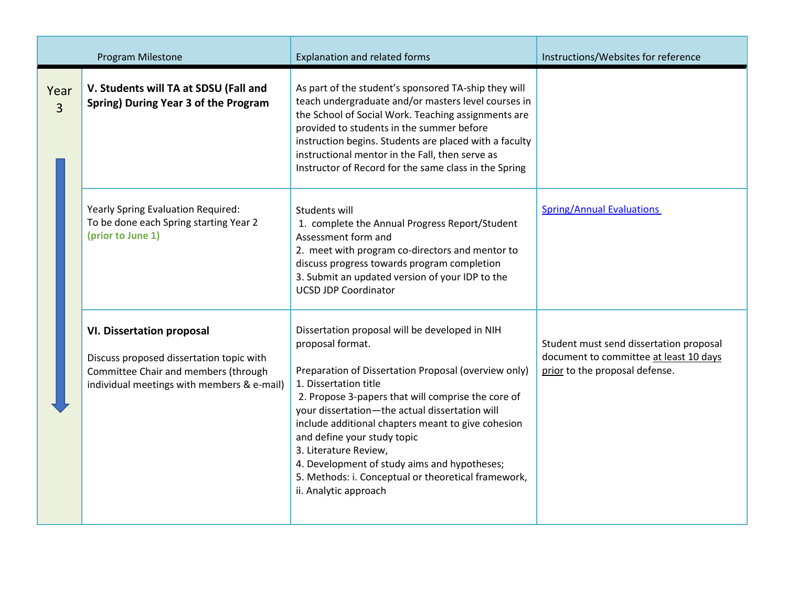<span id="page-3-1"></span><span id="page-3-0"></span>

|                        | Program Milestone                                                                                                                                                  | <b>Explanation and related forms</b>                                                                                                                                                                                                                                                                                                                                                                                                                                                                      | Instructions/Websites for reference                                                                                 |  |  |  |
|------------------------|--------------------------------------------------------------------------------------------------------------------------------------------------------------------|-----------------------------------------------------------------------------------------------------------------------------------------------------------------------------------------------------------------------------------------------------------------------------------------------------------------------------------------------------------------------------------------------------------------------------------------------------------------------------------------------------------|---------------------------------------------------------------------------------------------------------------------|--|--|--|
| Year<br>$\overline{3}$ | V. Students will TA at SDSU (Fall and<br>Spring) During Year 3 of the Program                                                                                      | As part of the student's sponsored TA-ship they will<br>teach undergraduate and/or masters level courses in<br>the School of Social Work. Teaching assignments are<br>provided to students in the summer before<br>instruction begins. Students are placed with a faculty<br>instructional mentor in the Fall, then serve as<br>Instructor of Record for the same class in the Spring                                                                                                                     |                                                                                                                     |  |  |  |
|                        | Yearly Spring Evaluation Required:<br>To be done each Spring starting Year 2<br>(prior to June 1)                                                                  | Students will<br>1. complete the Annual Progress Report/Student<br>Assessment form and<br>2. meet with program co-directors and mentor to<br>discuss progress towards program completion<br>3. Submit an updated version of your IDP to the<br><b>UCSD JDP Coordinator</b>                                                                                                                                                                                                                                | <b>Spring/Annual Evaluations</b>                                                                                    |  |  |  |
|                        | <b>VI. Dissertation proposal</b><br>Discuss proposed dissertation topic with<br>Committee Chair and members (through<br>individual meetings with members & e-mail) | Dissertation proposal will be developed in NIH<br>proposal format.<br>Preparation of Dissertation Proposal (overview only)<br>1. Dissertation title<br>2. Propose 3-papers that will comprise the core of<br>your dissertation-the actual dissertation will<br>include additional chapters meant to give cohesion<br>and define your study topic<br>3. Literature Review,<br>4. Development of study aims and hypotheses;<br>5. Methods: i. Conceptual or theoretical framework,<br>ii. Analytic approach | Student must send dissertation proposal<br>document to committee at least 10 days<br>prior to the proposal defense. |  |  |  |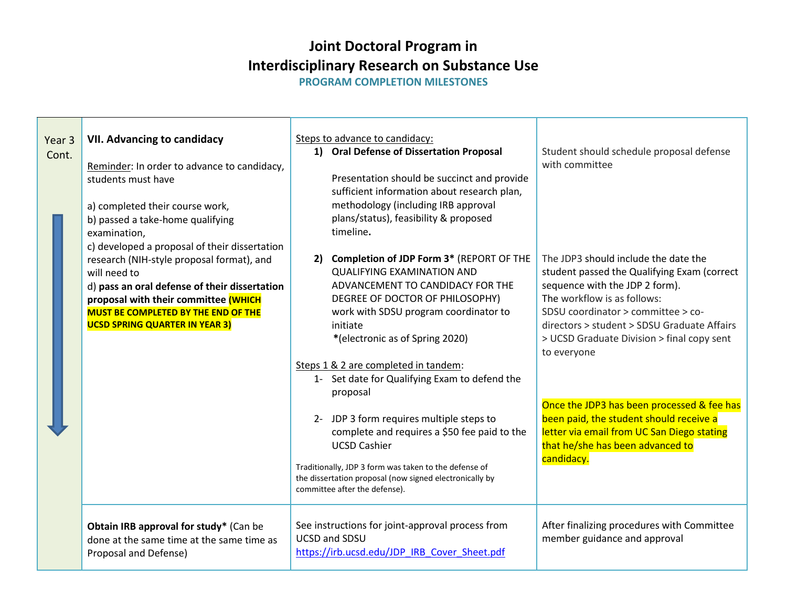<span id="page-4-0"></span>**PROGRAM COMPLETION MILESTONES** 

<span id="page-4-1"></span>

| Year 3<br>Cont. | <b>VII. Advancing to candidacy</b><br>Reminder: In order to advance to candidacy,<br>students must have                                                                                                                                   | Steps to advance to candidacy:<br>1) Oral Defense of Dissertation Proposal<br>Presentation should be succinct and provide<br>sufficient information about research plan,                                                                                             | Student should schedule proposal defense<br>with committee                                                                                                                                                                                                                                             |
|-----------------|-------------------------------------------------------------------------------------------------------------------------------------------------------------------------------------------------------------------------------------------|----------------------------------------------------------------------------------------------------------------------------------------------------------------------------------------------------------------------------------------------------------------------|--------------------------------------------------------------------------------------------------------------------------------------------------------------------------------------------------------------------------------------------------------------------------------------------------------|
|                 | a) completed their course work,<br>b) passed a take-home qualifying<br>examination,<br>c) developed a proposal of their dissertation                                                                                                      | methodology (including IRB approval<br>plans/status), feasibility & proposed<br>timeline.                                                                                                                                                                            |                                                                                                                                                                                                                                                                                                        |
|                 | research (NIH-style proposal format), and<br>will need to<br>d) pass an oral defense of their dissertation<br>proposal with their committee (WHICH<br><b>MUST BE COMPLETED BY THE END OF THE</b><br><b>UCSD SPRING QUARTER IN YEAR 3)</b> | 2) Completion of JDP Form 3* (REPORT OF THE<br><b>QUALIFYING EXAMINATION AND</b><br>ADVANCEMENT TO CANDIDACY FOR THE<br>DEGREE OF DOCTOR OF PHILOSOPHY)<br>work with SDSU program coordinator to<br>initiate<br>*(electronic as of Spring 2020)                      | The JDP3 should include the date the<br>student passed the Qualifying Exam (correct<br>sequence with the JDP 2 form).<br>The workflow is as follows:<br>SDSU coordinator > committee > co-<br>directors > student > SDSU Graduate Affairs<br>> UCSD Graduate Division > final copy sent<br>to everyone |
|                 |                                                                                                                                                                                                                                           | Steps 1 & 2 are completed in tandem:<br>1- Set date for Qualifying Exam to defend the<br>proposal                                                                                                                                                                    |                                                                                                                                                                                                                                                                                                        |
|                 |                                                                                                                                                                                                                                           | 2- JDP 3 form requires multiple steps to<br>complete and requires a \$50 fee paid to the<br><b>UCSD Cashier</b><br>Traditionally, JDP 3 form was taken to the defense of<br>the dissertation proposal (now signed electronically by<br>committee after the defense). | Once the JDP3 has been processed & fee has<br>been paid, the student should receive a<br>letter via email from UC San Diego stating<br>that he/she has been advanced to<br>candidacy.                                                                                                                  |
|                 | Obtain IRB approval for study* (Can be<br>done at the same time at the same time as<br>Proposal and Defense)                                                                                                                              | See instructions for joint-approval process from<br><b>UCSD and SDSU</b><br>https://irb.ucsd.edu/JDP IRB Cover Sheet.pdf                                                                                                                                             | After finalizing procedures with Committee<br>member guidance and approval                                                                                                                                                                                                                             |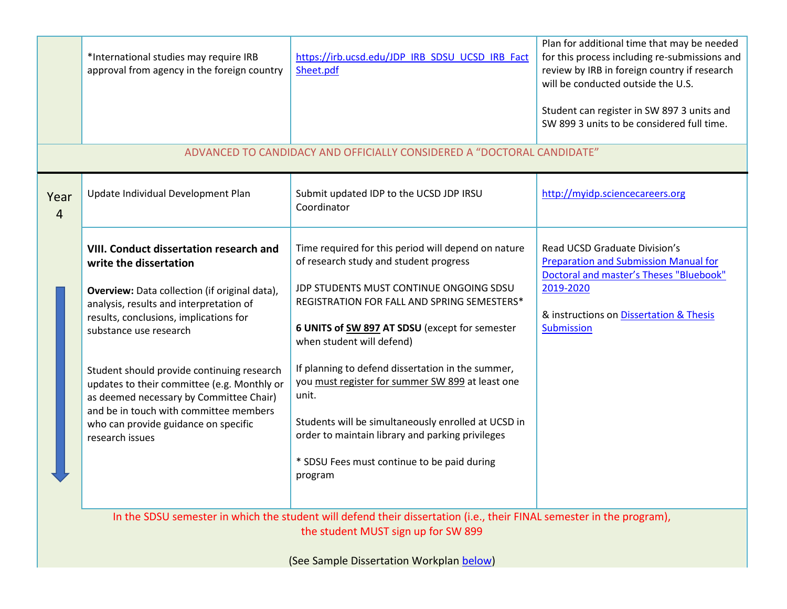<span id="page-5-1"></span><span id="page-5-0"></span>

|                                                                                                                                                              | *International studies may require IRB<br>approval from agency in the foreign country                                                                                                                                                                                                                                                                                                                                                                                          | https://irb.ucsd.edu/JDP IRB SDSU UCSD IRB Fact<br>Sheet.pdf                                                                                                                                                                                                                                                                                                                                                                                                                                                                                                  | Plan for additional time that may be needed<br>for this process including re-submissions and<br>review by IRB in foreign country if research<br>will be conducted outside the U.S.<br>Student can register in SW 897 3 units and<br>SW 899 3 units to be considered full time. |  |  |  |  |  |
|--------------------------------------------------------------------------------------------------------------------------------------------------------------|--------------------------------------------------------------------------------------------------------------------------------------------------------------------------------------------------------------------------------------------------------------------------------------------------------------------------------------------------------------------------------------------------------------------------------------------------------------------------------|---------------------------------------------------------------------------------------------------------------------------------------------------------------------------------------------------------------------------------------------------------------------------------------------------------------------------------------------------------------------------------------------------------------------------------------------------------------------------------------------------------------------------------------------------------------|--------------------------------------------------------------------------------------------------------------------------------------------------------------------------------------------------------------------------------------------------------------------------------|--|--|--|--|--|
|                                                                                                                                                              |                                                                                                                                                                                                                                                                                                                                                                                                                                                                                | ADVANCED TO CANDIDACY AND OFFICIALLY CONSIDERED A "DOCTORAL CANDIDATE"                                                                                                                                                                                                                                                                                                                                                                                                                                                                                        |                                                                                                                                                                                                                                                                                |  |  |  |  |  |
| Year<br>$\overline{4}$                                                                                                                                       | Update Individual Development Plan                                                                                                                                                                                                                                                                                                                                                                                                                                             | Submit updated IDP to the UCSD JDP IRSU<br>Coordinator                                                                                                                                                                                                                                                                                                                                                                                                                                                                                                        | http://myidp.sciencecareers.org                                                                                                                                                                                                                                                |  |  |  |  |  |
|                                                                                                                                                              | VIII. Conduct dissertation research and<br>write the dissertation<br>Overview: Data collection (if original data),<br>analysis, results and interpretation of<br>results, conclusions, implications for<br>substance use research<br>Student should provide continuing research<br>updates to their committee (e.g. Monthly or<br>as deemed necessary by Committee Chair)<br>and be in touch with committee members<br>who can provide guidance on specific<br>research issues | Time required for this period will depend on nature<br>of research study and student progress<br>JDP STUDENTS MUST CONTINUE ONGOING SDSU<br>REGISTRATION FOR FALL AND SPRING SEMESTERS*<br>6 UNITS of SW 897 AT SDSU (except for semester<br>when student will defend)<br>If planning to defend dissertation in the summer,<br>you must register for summer SW 899 at least one<br>unit.<br>Students will be simultaneously enrolled at UCSD in<br>order to maintain library and parking privileges<br>* SDSU Fees must continue to be paid during<br>program | Read UCSD Graduate Division's<br><b>Preparation and Submission Manual for</b><br>Doctoral and master's Theses "Bluebook"<br>2019-2020<br>& instructions on Dissertation & Thesis<br>Submission                                                                                 |  |  |  |  |  |
| In the SDSU semester in which the student will defend their dissertation (i.e., their FINAL semester in the program),<br>the student MUST sign up for SW 899 |                                                                                                                                                                                                                                                                                                                                                                                                                                                                                |                                                                                                                                                                                                                                                                                                                                                                                                                                                                                                                                                               |                                                                                                                                                                                                                                                                                |  |  |  |  |  |

(See Sample Dissertation Workplan [below\)](#page-9-0)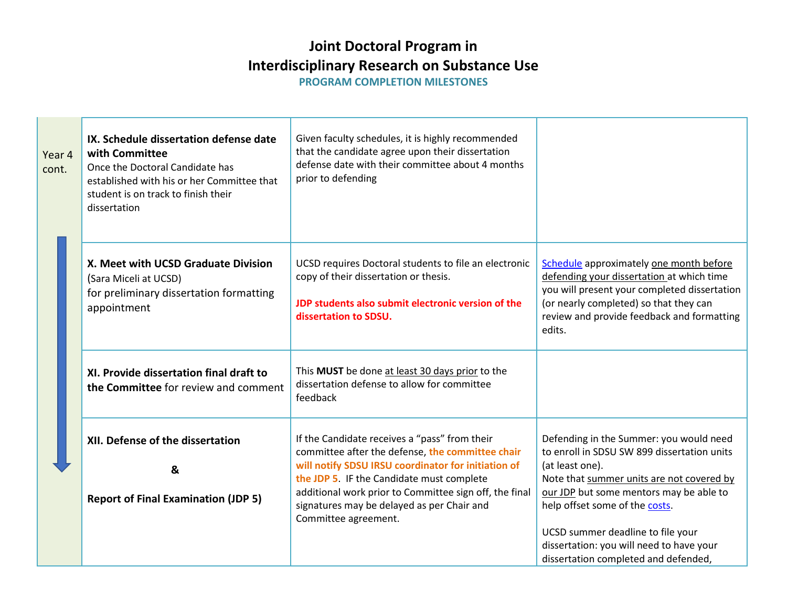**PROGRAM COMPLETION MILESTONES** 

<span id="page-6-0"></span>

| Year 4<br>cont. | IX. Schedule dissertation defense date<br>with Committee<br>Once the Doctoral Candidate has<br>established with his or her Committee that<br>student is on track to finish their<br>dissertation | Given faculty schedules, it is highly recommended<br>that the candidate agree upon their dissertation<br>defense date with their committee about 4 months<br>prior to defending                                                                                                                                                       |                                                                                                                                                                                                                                                                          |  |  |
|-----------------|--------------------------------------------------------------------------------------------------------------------------------------------------------------------------------------------------|---------------------------------------------------------------------------------------------------------------------------------------------------------------------------------------------------------------------------------------------------------------------------------------------------------------------------------------|--------------------------------------------------------------------------------------------------------------------------------------------------------------------------------------------------------------------------------------------------------------------------|--|--|
|                 | X. Meet with UCSD Graduate Division<br>(Sara Miceli at UCSD)<br>for preliminary dissertation formatting<br>appointment                                                                           | UCSD requires Doctoral students to file an electronic<br>copy of their dissertation or thesis.<br>JDP students also submit electronic version of the<br>dissertation to SDSU.                                                                                                                                                         | Schedule approximately one month before<br>defending your dissertation at which time<br>you will present your completed dissertation<br>(or nearly completed) so that they can<br>review and provide feedback and formatting<br>edits.                                   |  |  |
|                 | XI. Provide dissertation final draft to<br>the Committee for review and comment                                                                                                                  | This MUST be done at least 30 days prior to the<br>dissertation defense to allow for committee<br>feedback                                                                                                                                                                                                                            |                                                                                                                                                                                                                                                                          |  |  |
|                 | XII. Defense of the dissertation<br>&<br><b>Report of Final Examination (JDP 5)</b>                                                                                                              | If the Candidate receives a "pass" from their<br>committee after the defense, the committee chair<br>will notify SDSU IRSU coordinator for initiation of<br>the JDP 5. IF the Candidate must complete<br>additional work prior to Committee sign off, the final<br>signatures may be delayed as per Chair and<br>Committee agreement. | Defending in the Summer: you would need<br>to enroll in SDSU SW 899 dissertation units<br>(at least one).<br>Note that summer units are not covered by<br>our JDP but some mentors may be able to<br>help offset some of the costs.<br>UCSD summer deadline to file your |  |  |
|                 |                                                                                                                                                                                                  |                                                                                                                                                                                                                                                                                                                                       | dissertation: you will need to have your<br>dissertation completed and defended,                                                                                                                                                                                         |  |  |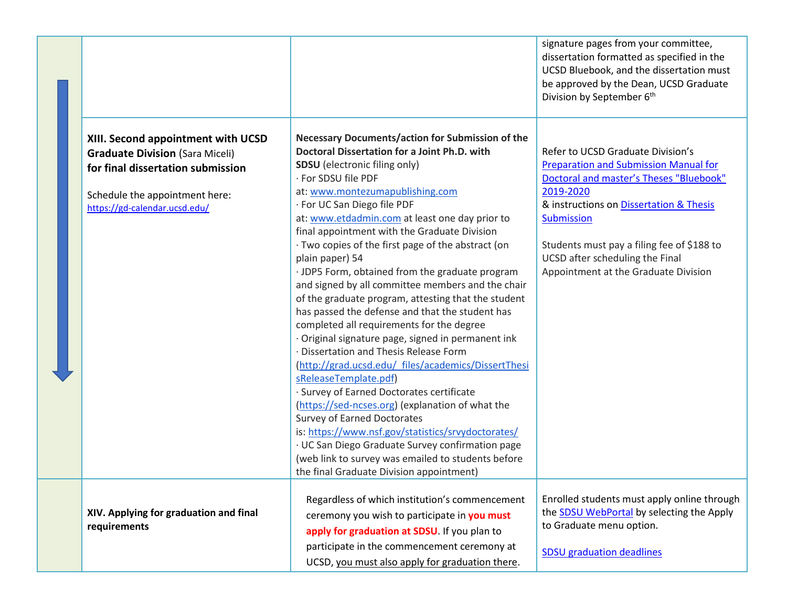<span id="page-7-1"></span><span id="page-7-0"></span>

|                                                                                                                                                                                      |                                                                                                                                                                                                                                                                                                                                                                                                                                                                                                                                                                                                                                                                                                                                                                                                                                                                                                                                                                                                                                                                                                                                                                                                                | signature pages from your committee,<br>dissertation formatted as specified in the<br>UCSD Bluebook, and the dissertation must<br>be approved by the Dean, UCSD Graduate<br>Division by September 6 <sup>th</sup>                                                                                                                  |
|--------------------------------------------------------------------------------------------------------------------------------------------------------------------------------------|----------------------------------------------------------------------------------------------------------------------------------------------------------------------------------------------------------------------------------------------------------------------------------------------------------------------------------------------------------------------------------------------------------------------------------------------------------------------------------------------------------------------------------------------------------------------------------------------------------------------------------------------------------------------------------------------------------------------------------------------------------------------------------------------------------------------------------------------------------------------------------------------------------------------------------------------------------------------------------------------------------------------------------------------------------------------------------------------------------------------------------------------------------------------------------------------------------------|------------------------------------------------------------------------------------------------------------------------------------------------------------------------------------------------------------------------------------------------------------------------------------------------------------------------------------|
| XIII. Second appointment with UCSD<br><b>Graduate Division (Sara Miceli)</b><br>for final dissertation submission<br>Schedule the appointment here:<br>https://gd-calendar.ucsd.edu/ | Necessary Documents/action for Submission of the<br>Doctoral Dissertation for a Joint Ph.D. with<br><b>SDSU</b> (electronic filing only)<br>· For SDSU file PDF<br>at: www.montezumapublishing.com<br>· For UC San Diego file PDF<br>at: www.etdadmin.com at least one day prior to<br>final appointment with the Graduate Division<br>· Two copies of the first page of the abstract (on<br>plain paper) 54<br>· JDP5 Form, obtained from the graduate program<br>and signed by all committee members and the chair<br>of the graduate program, attesting that the student<br>has passed the defense and that the student has<br>completed all requirements for the degree<br>· Original signature page, signed in permanent ink<br>· Dissertation and Thesis Release Form<br>(http://grad.ucsd.edu/ files/academics/DissertThesi<br>sReleaseTemplate.pdf)<br>· Survey of Earned Doctorates certificate<br>(https://sed-ncses.org) (explanation of what the<br><b>Survey of Earned Doctorates</b><br>is: https://www.nsf.gov/statistics/srvydoctorates/<br>· UC San Diego Graduate Survey confirmation page<br>(web link to survey was emailed to students before<br>the final Graduate Division appointment) | Refer to UCSD Graduate Division's<br><b>Preparation and Submission Manual for</b><br>Doctoral and master's Theses "Bluebook"<br>2019-2020<br>& instructions on Dissertation & Thesis<br><b>Submission</b><br>Students must pay a filing fee of \$188 to<br>UCSD after scheduling the Final<br>Appointment at the Graduate Division |
| XIV. Applying for graduation and final<br>requirements                                                                                                                               | Regardless of which institution's commencement<br>ceremony you wish to participate in you must<br>apply for graduation at SDSU. If you plan to<br>participate in the commencement ceremony at<br>UCSD, you must also apply for graduation there.                                                                                                                                                                                                                                                                                                                                                                                                                                                                                                                                                                                                                                                                                                                                                                                                                                                                                                                                                               | Enrolled students must apply online through<br>the <b>SDSU</b> WebPortal by selecting the Apply<br>to Graduate menu option.<br><b>SDSU</b> graduation deadlines                                                                                                                                                                    |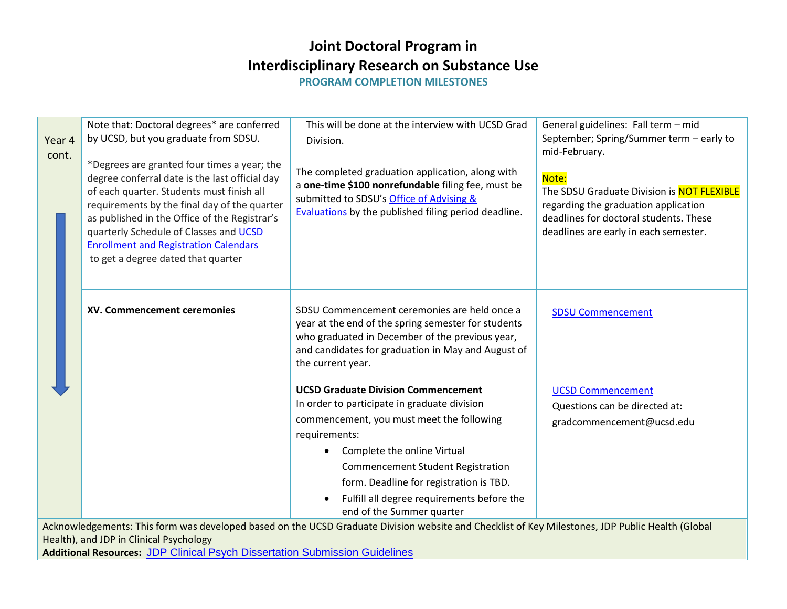**PROGRAM COMPLETION MILESTONES** 

| Year 4<br>cont. | Note that: Doctoral degrees* are conferred<br>by UCSD, but you graduate from SDSU.<br>*Degrees are granted four times a year; the<br>degree conferral date is the last official day<br>of each quarter. Students must finish all<br>requirements by the final day of the quarter<br>as published in the Office of the Registrar's<br>quarterly Schedule of Classes and UCSD<br><b>Enrollment and Registration Calendars</b><br>to get a degree dated that quarter | This will be done at the interview with UCSD Grad<br>Division.<br>The completed graduation application, along with<br>a one-time \$100 nonrefundable filing fee, must be<br>submitted to SDSU's Office of Advising &<br>Evaluations by the published filing period deadline. | General guidelines: Fall term - mid<br>September; Spring/Summer term - early to<br>mid-February.<br>Note:<br>The SDSU Graduate Division is NOT FLEXIBLE<br>regarding the graduation application<br>deadlines for doctoral students. These<br>deadlines are early in each semester. |  |  |  |  |  |  |
|-----------------|-------------------------------------------------------------------------------------------------------------------------------------------------------------------------------------------------------------------------------------------------------------------------------------------------------------------------------------------------------------------------------------------------------------------------------------------------------------------|------------------------------------------------------------------------------------------------------------------------------------------------------------------------------------------------------------------------------------------------------------------------------|------------------------------------------------------------------------------------------------------------------------------------------------------------------------------------------------------------------------------------------------------------------------------------|--|--|--|--|--|--|
|                 | XV. Commencement ceremonies                                                                                                                                                                                                                                                                                                                                                                                                                                       | SDSU Commencement ceremonies are held once a<br>year at the end of the spring semester for students<br>who graduated in December of the previous year,<br>and candidates for graduation in May and August of<br>the current year.                                            | <b>SDSU Commencement</b>                                                                                                                                                                                                                                                           |  |  |  |  |  |  |
|                 |                                                                                                                                                                                                                                                                                                                                                                                                                                                                   | <b>UCSD Graduate Division Commencement</b><br>In order to participate in graduate division<br>commencement, you must meet the following                                                                                                                                      | <b>UCSD Commencement</b><br>Questions can be directed at:<br>gradcommencement@ucsd.edu                                                                                                                                                                                             |  |  |  |  |  |  |
|                 |                                                                                                                                                                                                                                                                                                                                                                                                                                                                   | requirements:<br>Complete the online Virtual<br><b>Commencement Student Registration</b><br>form. Deadline for registration is TBD.<br>Fulfill all degree requirements before the<br>end of the Summer quarter                                                               |                                                                                                                                                                                                                                                                                    |  |  |  |  |  |  |
|                 | Acknowledgements: This form was developed based on the UCSD Graduate Division website and Checklist of Key Milestones, JDP Public Health (Global                                                                                                                                                                                                                                                                                                                  |                                                                                                                                                                                                                                                                              |                                                                                                                                                                                                                                                                                    |  |  |  |  |  |  |

Health), and JDP in Clinical Psychology

**Additional Resources:** [JDP Clinical Psych Dissertation Submission Guidelines](http://clinpsyc.sdsu.edu/student-handbook/program-requirements/dissertation/dissertation-submission-guidelines/)